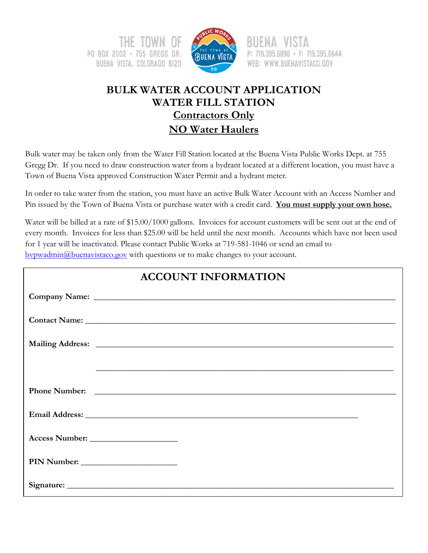



6898 · F: 719.395.8644 WEB: WWW.BUENAVISTACO.GOV

## **BULK WATER ACCOUNT APPLICATION WATER FILL STATION Contractors Only NO Water Haulers**

Bulk water may be taken only from the Water Fill Station located at the Buena Vista Public Works Dept. at 755 Gregg Dr. If you need to draw construction water from a hydrant located at a different location, you must have a Town of Buena Vista approved Construction Water Permit and a hydrant meter.

In order to take water from the station, you must have an active Bulk Water Account with an Access Number and Pin issued by the Town of Buena Vista or purchase water with a credit card. **You must supply your own hose.**

Water will be billed at a rate of \$15.00/1000 gallons. Invoices for account customers will be sent out at the end of every month. Invoices for less than \$25.00 will be held until the next month. Accounts which have not been used for 1 year will be inactivated. Please contact Public Works at 719-581-1046 or send an email to [bvpwadmin@buenavistaco.gov](mailto:bvpwadmin@buenavistaco.gov) with questions or to make changes to your account.

| <b>ACCOUNT INFORMATION</b>                                                                                                                                                                                                                |
|-------------------------------------------------------------------------------------------------------------------------------------------------------------------------------------------------------------------------------------------|
|                                                                                                                                                                                                                                           |
|                                                                                                                                                                                                                                           |
|                                                                                                                                                                                                                                           |
|                                                                                                                                                                                                                                           |
|                                                                                                                                                                                                                                           |
| <b>Email Address:</b> <u>Contract Contract Contract Contract Contract Contract Contract Contract Contract Contract Contract Contract Contract Contract Contract Contract Contract Contract Contract Contract Contract Contract Contra</u> |
|                                                                                                                                                                                                                                           |
|                                                                                                                                                                                                                                           |
|                                                                                                                                                                                                                                           |